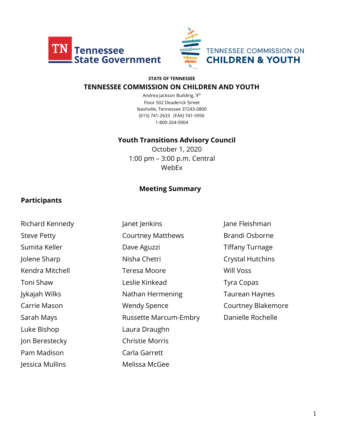



#### **STATE OF TENNESSEE**

#### **TENNESSEE COMMISSION ON CHILDREN AND YOUTH**

Andrea Jackson Building, 9th Floor 502 Deaderick Street Nashville, Tennessee 37243-0800 (615) 741-2633 (FAX) 741-5956 1-800-264-0904

#### **Youth Transitions Advisory Council**

October 1, 2020 1:00 pm – 3:00 p.m. Central WebEx

#### **Meeting Summary**

#### **Participants**

Luke Bishop Laura Draughn Jon Berestecky Christie Morris Pam Madison **Carla Garrett** Jessica Mullins Melissa McGee

- Richard Kennedy **Janet Jenkins** Jane Teishman Steve Petty **Courtney Matthews** Brandi Osborne Sumita Keller **Dave Aguzzi Communist Communist Communist Communist Communist Communist Communist Communist Communist Communist Communist Communist Communist Communist Communist Communist Communist Communist Communist Com** Jolene Sharp **Nisha Chetri** Crystal Hutchins Kendra Mitchell Teresa Moore Will Voss Toni Shaw **Leslie Kinkead** Tyra Copas Jykajah Wilks Nathan Hermening Taurean Haynes Carrie Mason **Carrie Mason** Wendy Spence **Courtney Blakemore** Sarah Mays **Russette Marcum-Embry** Danielle Rochelle
-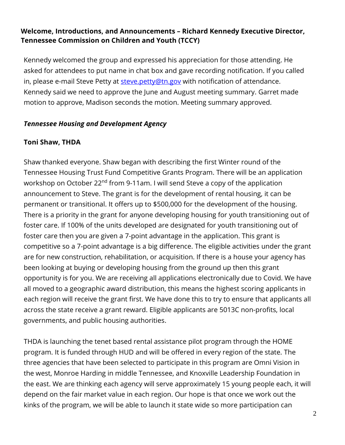## **Welcome, Introductions, and Announcements – Richard Kennedy Executive Director, Tennessee Commission on Children and Youth (TCCY)**

Kennedy welcomed the group and expressed his appreciation for those attending. He asked for attendees to put name in chat box and gave recording notification. If you called in, please e-mail Steve Petty at [steve.petty@tn.gov](mailto:steve.petty@tn.gov) with notification of attendance. Kennedy said we need to approve the June and August meeting summary. Garret made motion to approve, Madison seconds the motion. Meeting summary approved.

### *Tennessee Housing and Development Agency*

## **Toni Shaw, THDA**

Shaw thanked everyone. Shaw began with describing the first Winter round of the Tennessee Housing Trust Fund Competitive Grants Program. There will be an application workshop on October 22<sup>nd</sup> from 9-11am. I will send Steve a copy of the application announcement to Steve. The grant is for the development of rental housing, it can be permanent or transitional. It offers up to \$500,000 for the development of the housing. There is a priority in the grant for anyone developing housing for youth transitioning out of foster care. If 100% of the units developed are designated for youth transitioning out of foster care then you are given a 7-point advantage in the application. This grant is competitive so a 7-point advantage is a big difference. The eligible activities under the grant are for new construction, rehabilitation, or acquisition. If there is a house your agency has been looking at buying or developing housing from the ground up then this grant opportunity is for you. We are receiving all applications electronically due to Covid. We have all moved to a geographic award distribution, this means the highest scoring applicants in each region will receive the grant first. We have done this to try to ensure that applicants all across the state receive a grant reward. Eligible applicants are 5013C non-profits, local governments, and public housing authorities.

THDA is launching the tenet based rental assistance pilot program through the HOME program. It is funded through HUD and will be offered in every region of the state. The three agencies that have been selected to participate in this program are Omni Vision in the west, Monroe Harding in middle Tennessee, and Knoxville Leadership Foundation in the east. We are thinking each agency will serve approximately 15 young people each, it will depend on the fair market value in each region. Our hope is that once we work out the kinks of the program, we will be able to launch it state wide so more participation can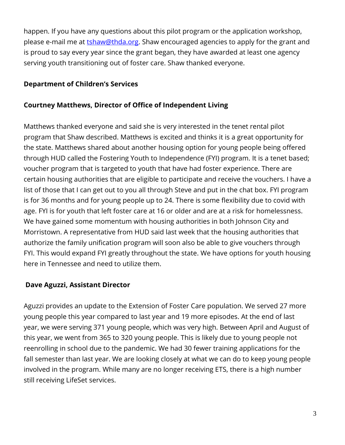happen. If you have any questions about this pilot program or the application workshop, please e-mail me at **tshaw@thda.org**. Shaw encouraged agencies to apply for the grant and is proud to say every year since the grant began, they have awarded at least one agency serving youth transitioning out of foster care. Shaw thanked everyone.

## **Department of Children's Services**

## **Courtney Matthews, Director of Office of Independent Living**

Matthews thanked everyone and said she is very interested in the tenet rental pilot program that Shaw described. Matthews is excited and thinks it is a great opportunity for the state. Matthews shared about another housing option for young people being offered through HUD called the Fostering Youth to Independence (FYI) program. It is a tenet based; voucher program that is targeted to youth that have had foster experience. There are certain housing authorities that are eligible to participate and receive the vouchers. I have a list of those that I can get out to you all through Steve and put in the chat box. FYI program is for 36 months and for young people up to 24. There is some flexibility due to covid with age. FYI is for youth that left foster care at 16 or older and are at a risk for homelessness. We have gained some momentum with housing authorities in both Johnson City and Morristown. A representative from HUD said last week that the housing authorities that authorize the family unification program will soon also be able to give vouchers through FYI. This would expand FYI greatly throughout the state. We have options for youth housing here in Tennessee and need to utilize them.

## **Dave Aguzzi, Assistant Director**

Aguzzi provides an update to the Extension of Foster Care population. We served 27 more young people this year compared to last year and 19 more episodes. At the end of last year, we were serving 371 young people, which was very high. Between April and August of this year, we went from 365 to 320 young people. This is likely due to young people not reenrolling in school due to the pandemic. We had 30 fewer training applications for the fall semester than last year. We are looking closely at what we can do to keep young people involved in the program. While many are no longer receiving ETS, there is a high number still receiving LifeSet services.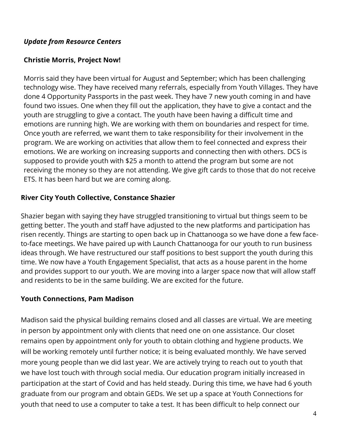### *Update from Resource Centers*

## **Christie Morris, Project Now!**

Morris said they have been virtual for August and September; which has been challenging technology wise. They have received many referrals, especially from Youth Villages. They have done 4 Opportunity Passports in the past week. They have 7 new youth coming in and have found two issues. One when they fill out the application, they have to give a contact and the youth are struggling to give a contact. The youth have been having a difficult time and emotions are running high. We are working with them on boundaries and respect for time. Once youth are referred, we want them to take responsibility for their involvement in the program. We are working on activities that allow them to feel connected and express their emotions. We are working on increasing supports and connecting then with others. DCS is supposed to provide youth with \$25 a month to attend the program but some are not receiving the money so they are not attending. We give gift cards to those that do not receive ETS. It has been hard but we are coming along.

## **River City Youth Collective, Constance Shazier**

Shazier began with saying they have struggled transitioning to virtual but things seem to be getting better. The youth and staff have adjusted to the new platforms and participation has risen recently. Things are starting to open back up in Chattanooga so we have done a few faceto-face meetings. We have paired up with Launch Chattanooga for our youth to run business ideas through. We have restructured our staff positions to best support the youth during this time. We now have a Youth Engagement Specialist, that acts as a house parent in the home and provides support to our youth. We are moving into a larger space now that will allow staff and residents to be in the same building. We are excited for the future.

### **Youth Connections, Pam Madison**

Madison said the physical building remains closed and all classes are virtual. We are meeting in person by appointment only with clients that need one on one assistance. Our closet remains open by appointment only for youth to obtain clothing and hygiene products. We will be working remotely until further notice; it is being evaluated monthly. We have served more young people than we did last year. We are actively trying to reach out to youth that we have lost touch with through social media. Our education program initially increased in participation at the start of Covid and has held steady. During this time, we have had 6 youth graduate from our program and obtain GEDs. We set up a space at Youth Connections for youth that need to use a computer to take a test. It has been difficult to help connect our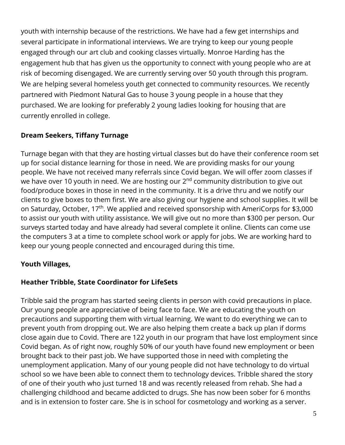youth with internship because of the restrictions. We have had a few get internships and several participate in informational interviews. We are trying to keep our young people engaged through our art club and cooking classes virtually. Monroe Harding has the engagement hub that has given us the opportunity to connect with young people who are at risk of becoming disengaged. We are currently serving over 50 youth through this program. We are helping several homeless youth get connected to community resources. We recently partnered with Piedmont Natural Gas to house 3 young people in a house that they purchased. We are looking for preferably 2 young ladies looking for housing that are currently enrolled in college.

## **Dream Seekers, Tiffany Turnage**

Turnage began with that they are hosting virtual classes but do have their conference room set up for social distance learning for those in need. We are providing masks for our young people. We have not received many referrals since Covid began. We will offer zoom classes if we have over 10 youth in need. We are hosting our  $2<sup>nd</sup>$  community distribution to give out food/produce boxes in those in need in the community. It is a drive thru and we notify our clients to give boxes to them first. We are also giving our hygiene and school supplies. It will be on Saturday, October, 17th. We applied and received sponsorship with AmeriCorps for \$3,000 to assist our youth with utility assistance. We will give out no more than \$300 per person. Our surveys started today and have already had several complete it online. Clients can come use the computers 3 at a time to complete school work or apply for jobs. We are working hard to keep our young people connected and encouraged during this time.

## **Youth Villages,**

## **Heather Tribble, State Coordinator for LifeSets**

Tribble said the program has started seeing clients in person with covid precautions in place. Our young people are appreciative of being face to face. We are educating the youth on precautions and supporting them with virtual learning. We want to do everything we can to prevent youth from dropping out. We are also helping them create a back up plan if dorms close again due to Covid. There are 122 youth in our program that have lost employment since Covid began. As of right now, roughly 50% of our youth have found new employment or been brought back to their past job. We have supported those in need with completing the unemployment application. Many of our young people did not have technology to do virtual school so we have been able to connect them to technology devices. Tribble shared the story of one of their youth who just turned 18 and was recently released from rehab. She had a challenging childhood and became addicted to drugs. She has now been sober for 6 months and is in extension to foster care. She is in school for cosmetology and working as a server.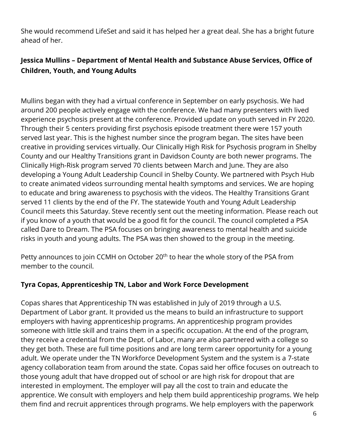She would recommend LifeSet and said it has helped her a great deal. She has a bright future ahead of her.

# **Jessica Mullins – Department of Mental Health and Substance Abuse Services, Office of Children, Youth, and Young Adults**

Mullins began with they had a virtual conference in September on early psychosis. We had around 200 people actively engage with the conference. We had many presenters with lived experience psychosis present at the conference. Provided update on youth served in FY 2020. Through their 5 centers providing first psychosis episode treatment there were 157 youth served last year. This is the highest number since the program began. The sites have been creative in providing services virtually. Our Clinically High Risk for Psychosis program in Shelby County and our Healthy Transitions grant in Davidson County are both newer programs. The Clinically High-Risk program served 70 clients between March and June. They are also developing a Young Adult Leadership Council in Shelby County. We partnered with Psych Hub to create animated videos surrounding mental health symptoms and services. We are hoping to educate and bring awareness to psychosis with the videos. The Healthy Transitions Grant served 11 clients by the end of the FY. The statewide Youth and Young Adult Leadership Council meets this Saturday. Steve recently sent out the meeting information. Please reach out if you know of a youth that would be a good fit for the council. The council completed a PSA called Dare to Dream. The PSA focuses on bringing awareness to mental health and suicide risks in youth and young adults. The PSA was then showed to the group in the meeting.

Petty announces to join CCMH on October 20<sup>th</sup> to hear the whole story of the PSA from member to the council.

## **Tyra Copas, Apprenticeship TN, Labor and Work Force Development**

Copas shares that Apprenticeship TN was established in July of 2019 through a U.S. Department of Labor grant. It provided us the means to build an infrastructure to support employers with having apprenticeship programs. An apprenticeship program provides someone with little skill and trains them in a specific occupation. At the end of the program, they receive a credential from the Dept. of Labor, many are also partnered with a college so they get both. These are full time positions and are long term career opportunity for a young adult. We operate under the TN Workforce Development System and the system is a 7-state agency collaboration team from around the state. Copas said her office focuses on outreach to those young adult that have dropped out of school or are high risk for dropout that are interested in employment. The employer will pay all the cost to train and educate the apprentice. We consult with employers and help them build apprenticeship programs. We help them find and recruit apprentices through programs. We help employers with the paperwork